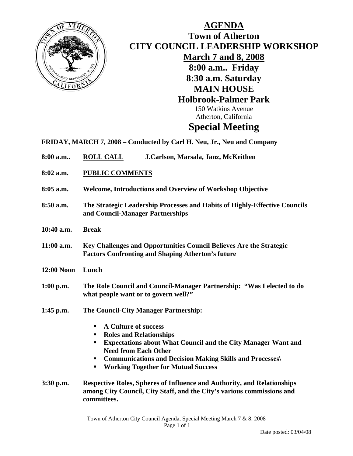

## **AGENDA Town of Atherton CITY COUNCIL LEADERSHIP WORKSHOP March 7 and 8, 2008 8:00 a.m.. Friday 8:30 a.m. Saturday MAIN HOUSE Holbrook-Palmer Park**  150 Watkins Avenue Atherton, California **Special Meeting**

- **FRIDAY, MARCH 7, 2008 Conducted by Carl H. Neu, Jr., Neu and Company**
- **8:00 a.m.. ROLL CALL J.Carlson, Marsala, Janz, McKeithen**
- **8:02 a.m. PUBLIC COMMENTS**
- **8:05 a.m. Welcome, Introductions and Overview of Workshop Objective**
- **8:50 a.m. The Strategic Leadership Processes and Habits of Highly-Effective Councils and Council-Manager Partnerships**
- **10:40 a.m. Break**
- **11:00 a.m. Key Challenges and Opportunities Council Believes Are the Strategic Factors Confronting and Shaping Atherton's future**
- **12:00 Noon Lunch**
- **1:00 p.m. The Role Council and Council-Manager Partnership: "Was I elected to do what people want or to govern well?"**
- **1:45 p.m. The Council-City Manager Partnership:** 
	- **A Culture of success**
	- **Roles and Relationships**
	- **Expectations about What Council and the City Manager Want and Need from Each Other**
	- **Communications and Decision Making Skills and Processes\**
	- **Working Together for Mutual Success**
- **3:30 p.m. Respective Roles, Spheres of Influence and Authority, and Relationships among City Council, City Staff, and the City's various commissions and committees.**